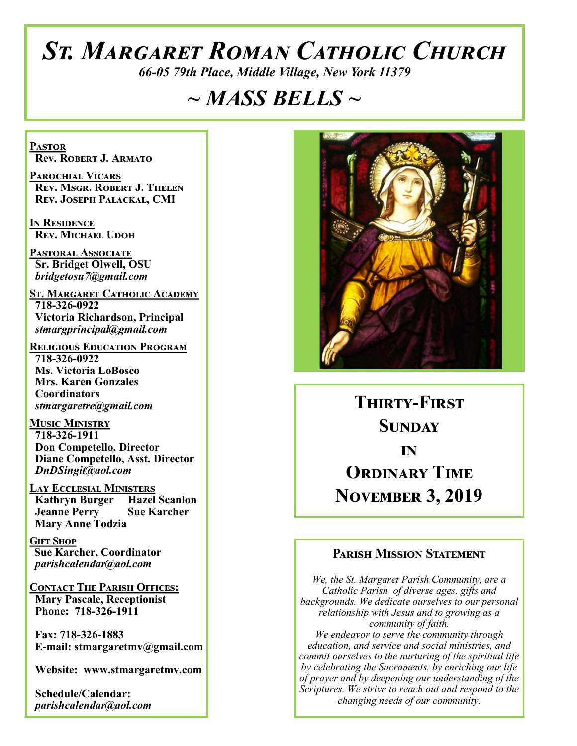# *St. Margaret Roman Catholic Church*

*66-05 79th Place, Middle Village, New York 11379*

# *~ MASS BELLS ~*

**Pastor Rev. Robert J. Armato**

**Parochial Vicars Rev. Msgr. Robert J. Thelen Rev. Joseph Palackal, CMI**

**In Residence Rev. Michael Udoh**

**Pastoral Associate Sr. Bridget Olwell, OSU**  *bridgetosu7@gmail.com*

**St. Margaret Catholic Academy 718-326-0922 Victoria Richardson, Principal**  *stmargprincipal@gmail.com*

**Religious Education Program 718-326-0922 Ms. Victoria LoBosco Mrs. Karen Gonzales Coordinators** *stmargaretre@gmail.com*

**Music Ministry 718-326-1911 Don Competello, Director Diane Competello, Asst. Director** *DnDSingit@aol.com*

**Lay Ecclesial Ministers Kathryn Burger Hazel Scanlon Jeanne Perry Sue Karcher Mary Anne Todzia**

**Gift Shop Sue Karcher, Coordinator** *parishcalendar@aol.com*

**Contact The Parish Offices: Mary Pascale, Receptionist Phone: 718-326-1911** 

 **Fax: 718-326-1883 E-mail: stmargaretmv@gmail.com**

 **Website: www.stmargaretmv.com**

 **Schedule/Calendar:** *parishcalendar@aol.com* 



**Thirty-First Sunday in ORDINARY TIME November 3, 2019** 

#### **Parish Mission Statement**

*We, the St. Margaret Parish Community, are a Catholic Parish of diverse ages, gifts and backgrounds. We dedicate ourselves to our personal relationship with Jesus and to growing as a community of faith. We endeavor to serve the community through education, and service and social ministries, and commit ourselves to the nurturing of the spiritual life by celebrating the Sacraments, by enriching our life of prayer and by deepening our understanding of the Scriptures. We strive to reach out and respond to the changing needs of our community.*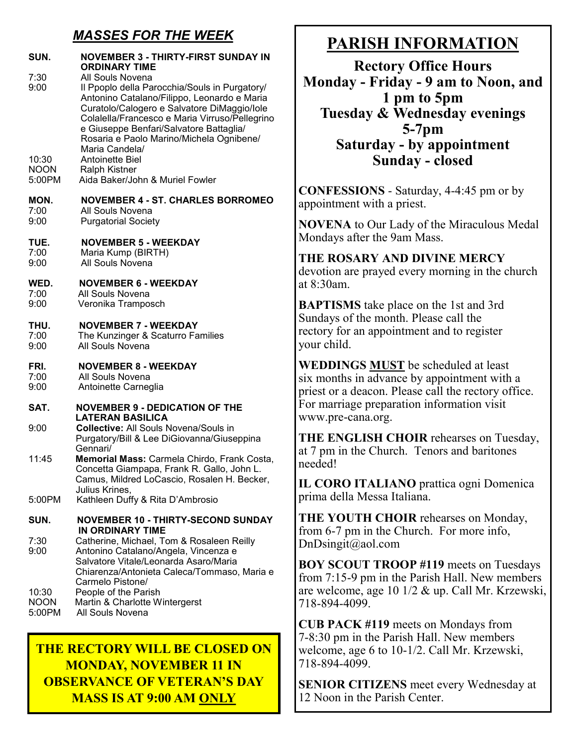## *MASSES FOR THE WEEK*

| SUN.                           | NOVEMBER 3 - THIRTY-FIRST SUNDAY IN<br><b>ORDINARY TIME</b>                                                                                                                                                                                                                                                                |
|--------------------------------|----------------------------------------------------------------------------------------------------------------------------------------------------------------------------------------------------------------------------------------------------------------------------------------------------------------------------|
| 7:30<br>9:00                   | All Souls Novena<br>Il Ppoplo della Parocchia/Souls in Purgatory/<br>Antonino Catalano/Filippo, Leonardo e Maria<br>Curatolo/Calogero e Salvatore DiMaggio/Iole<br>Colalella/Francesco e Maria Virruso/Pellegrino<br>e Giuseppe Benfari/Salvatore Battaglia/<br>Rosaria e Paolo Marino/Michela Ognibene/<br>Maria Candela/ |
| 10:30<br><b>NOON</b><br>5:00PM | Antoinette Biel<br><b>Ralph Kistner</b><br>Aida Baker/John & Muriel Fowler                                                                                                                                                                                                                                                 |
| MON.<br>7:00<br>9:00           | <b>NOVEMBER 4 - ST. CHARLES BORROMEO</b><br>All Souls Novena<br><b>Purgatorial Society</b>                                                                                                                                                                                                                                 |
| TUE.<br>7:00<br>9:00           | <b>NOVEMBER 5 - WEEKDAY</b><br>Maria Kump (BIRTH)<br>All Souls Novena                                                                                                                                                                                                                                                      |
| WED.<br>7:00<br>9:00           | <b>NOVEMBER 6 - WEEKDAY</b><br>All Souls Novena<br>Veronika Tramposch                                                                                                                                                                                                                                                      |
| THU.<br>7:00<br>9:00           | <b>NOVEMBER 7 - WEEKDAY</b><br>The Kunzinger & Scaturro Families<br>All Souls Novena                                                                                                                                                                                                                                       |
| FRI.<br>7:00<br>9:00           | <b>NOVEMBER 8 - WEEKDAY</b><br>All Souls Novena<br>Antoinette Carneglia                                                                                                                                                                                                                                                    |
| SAT.                           | <b>NOVEMBER 9 - DEDICATION OF THE</b><br><b>LATERAN BASILICA</b>                                                                                                                                                                                                                                                           |
| 9:00                           | <b>Collective: All Souls Novena/Souls in</b><br>Purgatory/Bill & Lee DiGiovanna/Giuseppina<br>Gennari/                                                                                                                                                                                                                     |
| 11:45                          | Memorial Mass: Carmela Chirdo, Frank Costa,<br>Concetta Giampapa, Frank R. Gallo, John L<br>Camus, Mildred LoCascio, Rosalen H. Becker,<br>Julius Krines,                                                                                                                                                                  |
| 5:00PM                         | Kathleen Duffy & Rita D'Ambrosio                                                                                                                                                                                                                                                                                           |
| SUN.<br>7:30                   | <b>NOVEMBER 10 - THIRTY-SECOND SUNDAY</b><br>IN ORDINARY TIME<br>Catherine, Michael, Tom & Rosaleen Reilly                                                                                                                                                                                                                 |
| 9:00<br>10:30<br><b>NOON</b>   | Antonino Catalano/Angela, Vincenza e<br>Salvatore Vitale/Leonarda Asaro/Maria<br>Chiarenza/Antonieta Caleca/Tommaso, Maria e<br>Carmelo Pistone/<br>People of the Parish<br>Martin & Charlotte Wintergerst                                                                                                                 |
| 5:00PM                         | All Souls Novena                                                                                                                                                                                                                                                                                                           |

## **THE RECTORY WILL BE CLOSED ON MONDAY, NOVEMBER 11 IN OBSERVANCE OF VETERAN'S DAY MASS IS AT 9:00 AM ONLY**

# **PARISH INFORMATION**

**Rectory Office Hours Monday - Friday - 9 am to Noon, and 1 pm to 5pm Tuesday & Wednesday evenings 5-7pm Saturday - by appointment Sunday - closed**

**CONFESSIONS** - Saturday, 4-4:45 pm or by appointment with a priest.

**NOVENA** to Our Lady of the Miraculous Medal Mondays after the 9am Mass.

# **THE ROSARY AND DIVINE MERCY**

devotion are prayed every morning in the church at 8:30am.

**BAPTISMS** take place on the 1st and 3rd Sundays of the month. Please call the rectory for an appointment and to register your child.

**WEDDINGS MUST** be scheduled at least six months in advance by appointment with a priest or a deacon. Please call the rectory office. For marriage preparation information visit www.pre-cana.org.

**THE ENGLISH CHOIR** rehearses on Tuesday, at 7 pm in the Church. Tenors and baritones needed!

**IL CORO ITALIANO** prattica ogni Domenica prima della Messa Italiana.

**THE YOUTH CHOIR** rehearses on Monday, from 6-7 pm in the Church. For more info, DnDsingit@aol.com

**BOY SCOUT TROOP #119** meets on Tuesdays from 7:15-9 pm in the Parish Hall. New members are welcome, age 10 1/2 & up. Call Mr. Krzewski, 718-894-4099.

**CUB PACK #119** meets on Mondays from 7-8:30 pm in the Parish Hall. New members welcome, age 6 to 10-1/2. Call Mr. Krzewski, 718-894-4099.

**SENIOR CITIZENS** meet every Wednesday at 12 Noon in the Parish Center.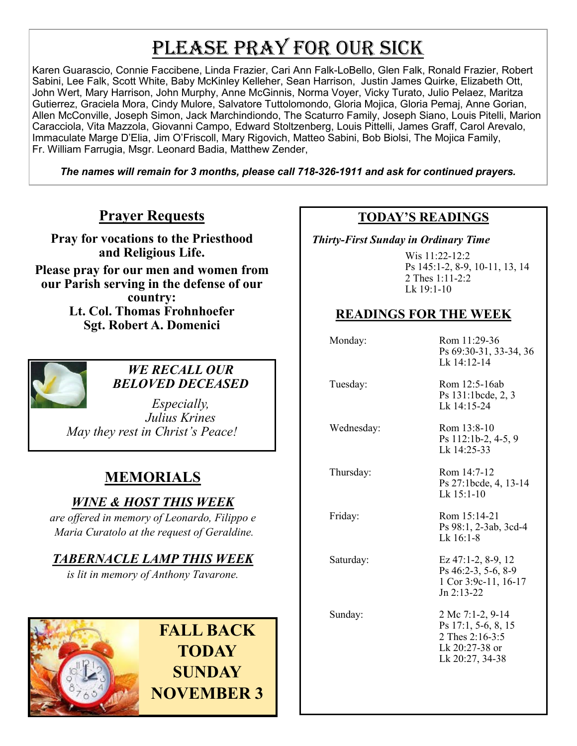# PLEASE PRAY FOR OUR SICK

Karen Guarascio, Connie Faccibene, Linda Frazier, Cari Ann Falk-LoBello, Glen Falk, Ronald Frazier, Robert Sabini, Lee Falk, Scott White, Baby McKinley Kelleher, Sean Harrison, Justin James Quirke, Elizabeth Ott, John Wert, Mary Harrison, John Murphy, Anne McGinnis, Norma Voyer, Vicky Turato, Julio Pelaez, Maritza Gutierrez, Graciela Mora, Cindy Mulore, Salvatore Tuttolomondo, Gloria Mojica, Gloria Pemaj, Anne Gorian, Allen McConville, Joseph Simon, Jack Marchindiondo, The Scaturro Family, Joseph Siano, Louis Pitelli, Marion Caracciola, Vita Mazzola, Giovanni Campo, Edward Stoltzenberg, Louis Pittelli, James Graff, Carol Arevalo, Immaculate Marge D'Elia, Jim O'Friscoll, Mary Rigovich, Matteo Sabini, Bob Biolsi, The Mojica Family, Fr. William Farrugia, Msgr. Leonard Badia, Matthew Zender,

*The names will remain for 3 months, please call 718-326-1911 and ask for continued prayers.*

## **Prayer Requests**

**Pray for vocations to the Priesthood and Religious Life.** 

**Please pray for our men and women from our Parish serving in the defense of our country: Lt. Col. Thomas Frohnhoefer Sgt. Robert A. Domenici** 



#### *WE RECALL OUR BELOVED DECEASED*

*Especially, Julius Krines May they rest in Christ's Peace!*

## **MEMORIALS**

## *WINE & HOST THIS WEEK*

*are offered in memory of Leonardo, Filippo e Maria Curatolo at the request of Geraldine.* 

### *TABERNACLE LAMP THIS WEEK*

*is lit in memory of Anthony Tavarone.* 



#### **TODAY'S READINGS**

 *Thirty-First Sunday in Ordinary Time* 

Wis  $11:22-12:2$ Ps 145:1-2, 8-9, 10-11, 13, 14 2 Thes 1:11-2:2 Lk 19:1-10

### **READINGS FOR THE WEEK**

 Monday: Rom 11:29-36 Ps 69:30-31, 33-34, 36 Lk 14:12-14 Tuesday: Rom 12:5-16ab Ps 131:1bcde, 2, 3 Lk 14:15-24 Wednesday: Rom 13:8-10 Ps 112:1b-2, 4-5, 9 Lk 14:25-33 Thursday: Rom 14:7-12 Ps 27:1bcde, 4, 13-14 Lk 15:1-10 Friday: Rom 15:14-21 Ps 98:1, 2-3ab, 3cd-4  $Lk$  16:1-8 Saturday: Ez 47:1-2, 8-9, 12 Ps 46:2-3, 5-6, 8-9 1 Cor 3:9c-11, 16-17 Jn 2:13-22 Sunday: 2 Mc 7:1-2, 9-14 Ps 17:1, 5-6, 8, 15 2 Thes 2:16-3:5 Lk 20:27-38 or Lk 20:27, 34-38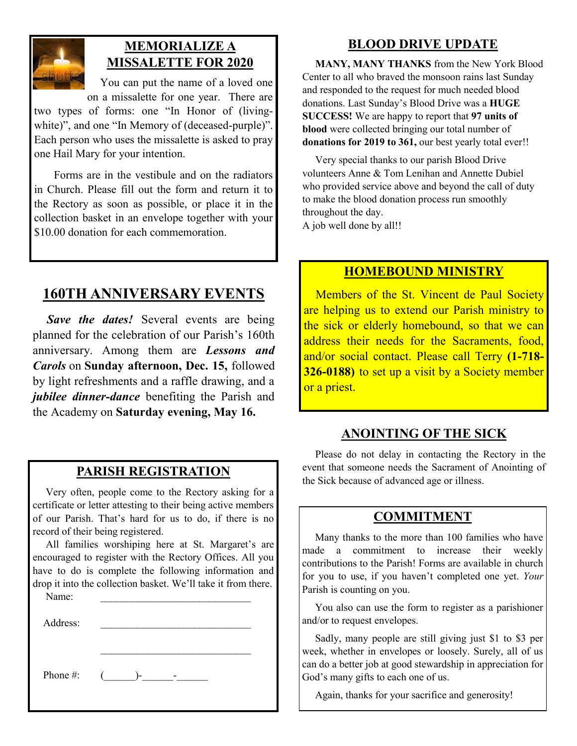

## **MEMORIALIZE A MISSALETTE FOR 2020**

 You can put the name of a loved one on a missalette for one year. There are

two types of forms: one "In Honor of (livingwhite)", and one "In Memory of (deceased-purple)". Each person who uses the missalette is asked to pray one Hail Mary for your intention.

 Forms are in the vestibule and on the radiators in Church. Please fill out the form and return it to the Rectory as soon as possible, or place it in the collection basket in an envelope together with your \$10.00 donation for each commemoration.

## **160TH ANNIVERSARY EVENTS**

*Save the dates!* Several events are being planned for the celebration of our Parish's 160th anniversary. Among them are *Lessons and Carols* on **Sunday afternoon, Dec. 15,** followed by light refreshments and a raffle drawing, and a *jubilee dinner-dance* benefiting the Parish and the Academy on **Saturday evening, May 16.**

#### **PARISH REGISTRATION**

 Very often, people come to the Rectory asking for a certificate or letter attesting to their being active members of our Parish. That's hard for us to do, if there is no record of their being registered.

 All families worshiping here at St. Margaret's are encouraged to register with the Rectory Offices. All you have to do is complete the following information and drop it into the collection basket. We'll take it from there.

 $\mathcal{L}_\text{max}$ 

Name:

Address:

Phone #:  $($   $)$ -  $-$ 

**BLOOD DRIVE UPDATE**

 **MANY, MANY THANKS** from the New York Blood Center to all who braved the monsoon rains last Sunday and responded to the request for much needed blood donations. Last Sunday's Blood Drive was a **HUGE SUCCESS!** We are happy to report that **97 units of blood** were collected bringing our total number of donations for 2019 to 361, our best yearly total ever!!

 Very special thanks to our parish Blood Drive volunteers Anne & Tom Lenihan and Annette Dubiel who provided service above and beyond the call of duty to make the blood donation process run smoothly throughout the day.

A job well done by all!!

#### **HOMEBOUND MINISTRY**

 Members of the St. Vincent de Paul Society are helping us to extend our Parish ministry to the sick or elderly homebound, so that we can address their needs for the Sacraments, food, and/or social contact. Please call Terry **(1-718- 326-0188)** to set up a visit by a Society member or a priest.

#### **ANOINTING OF THE SICK**

 Please do not delay in contacting the Rectory in the event that someone needs the Sacrament of Anointing of the Sick because of advanced age or illness.

#### **COMMITMENT**

 Many thanks to the more than 100 families who have made a commitment to increase their weekly contributions to the Parish! Forms are available in church for you to use, if you haven't completed one yet. *Your*  Parish is counting on you.

 You also can use the form to register as a parishioner and/or to request envelopes.

 Sadly, many people are still giving just \$1 to \$3 per week, whether in envelopes or loosely. Surely, all of us can do a better job at good stewardship in appreciation for God's many gifts to each one of us.

Again, thanks for your sacrifice and generosity!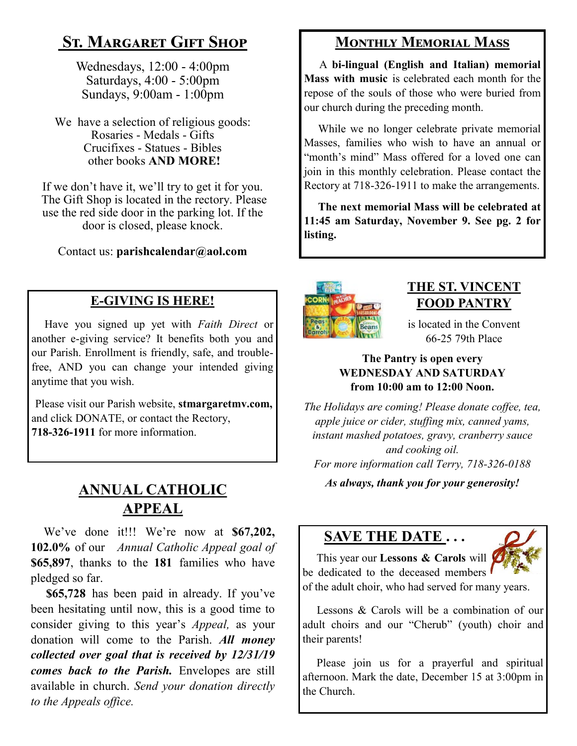# **St. Margaret Gift Shop**

Wednesdays, 12:00 - 4:00pm Saturdays, 4:00 - 5:00pm Sundays, 9:00am - 1:00pm

We have a selection of religious goods: Rosaries - Medals - Gifts Crucifixes - Statues - Bibles other books **AND MORE!**

If we don't have it, we'll try to get it for you. The Gift Shop is located in the rectory. Please use the red side door in the parking lot. If the door is closed, please knock.

Contact us: **parishcalendar@aol.com**

### **E-GIVING IS HERE!**

 Have you signed up yet with *Faith Direct* or another e-giving service? It benefits both you and our Parish. Enrollment is friendly, safe, and troublefree, AND you can change your intended giving anytime that you wish.

Please visit our Parish website, **stmargaretmv.com,**  and click DONATE, or contact the Rectory, **718-326-1911** for more information.

## **ANNUAL CATHOLIC APPEAL**

 We've done it!!! We're now at **\$67,202, 102.0%** of our*Annual Catholic Appeal goal of*  **\$65,897**, thanks to the **181** families who have pledged so far.

 **\$65,728** has been paid in already. If you've been hesitating until now, this is a good time to consider giving to this year's *Appeal,* as your donation will come to the Parish. *All money collected over goal that is received by 12/31/19 comes back to the Parish.* Envelopes are still available in church. *Send your donation directly to the Appeals office.*

## **Monthly Memorial Mass**

 A **bi-lingual (English and Italian) memorial Mass with music** is celebrated each month for the repose of the souls of those who were buried from our church during the preceding month.

 While we no longer celebrate private memorial Masses, families who wish to have an annual or "month's mind" Mass offered for a loved one can join in this monthly celebration. Please contact the Rectory at 718-326-1911 to make the arrangements.

 **The next memorial Mass will be celebrated at 11:45 am Saturday, November 9. See pg. 2 for listing.** 



## **THE ST. VINCENT FOOD PANTRY**

is located in the Convent 66-25 79th Place

#### **The Pantry is open every WEDNESDAY AND SATURDAY from 10:00 am to 12:00 Noon.**

*The Holidays are coming! Please donate coffee, tea, apple juice or cider, stuffing mix, canned yams, instant mashed potatoes, gravy, cranberry sauce and cooking oil. For more information call Terry, 718-326-0188*

*As always, thank you for your generosity!*

## **SAVE THE DATE . . .**



 This year our **Lessons & Carols** will be dedicated to the deceased members of the adult choir, who had served for many years.

 Lessons & Carols will be a combination of our adult choirs and our "Cherub" (youth) choir and their parents!

 Please join us for a prayerful and spiritual afternoon. Mark the date, December 15 at 3:00pm in the Church.